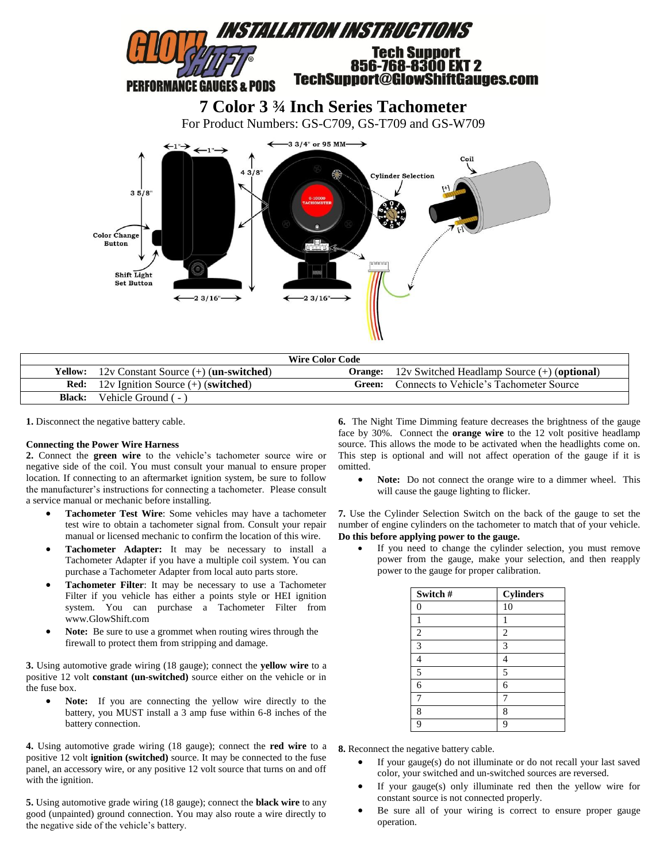

| <b>Wire Color Code</b> |                                                                 |        |                                                              |  |
|------------------------|-----------------------------------------------------------------|--------|--------------------------------------------------------------|--|
|                        | <b>Yellow:</b> 12v Constant Source $(+)$ ( <b>un-switched</b> ) |        | <b>Orange:</b> 12y Switched Headlamp Source $(+)$ (optional) |  |
|                        | <b>Red:</b> 12v Ignition Source $(+)$ (switched)                | Green: | Connects to Vehicle's Tachometer Source                      |  |
| <b>Black:</b>          | Vehicle Ground (-)                                              |        |                                                              |  |

**1.** Disconnect the negative battery cable.

## **Connecting the Power Wire Harness**

**2.** Connect the **green wire** to the vehicle's tachometer source wire or negative side of the coil. You must consult your manual to ensure proper location. If connecting to an aftermarket ignition system, be sure to follow the manufacturer's instructions for connecting a tachometer. Please consult a service manual or mechanic before installing.

- **Tachometer Test Wire**: Some vehicles may have a tachometer test wire to obtain a tachometer signal from. Consult your repair manual or licensed mechanic to confirm the location of this wire.
- **Tachometer Adapter:** It may be necessary to install a Tachometer Adapter if you have a multiple coil system. You can purchase a Tachometer Adapter from local auto parts store.
- **Tachometer Filter**: It may be necessary to use a Tachometer Filter if you vehicle has either a points style or HEI ignition system. You can purchase a Tachometer Filter from www.GlowShift.com
- **Note:** Be sure to use a grommet when routing wires through the firewall to protect them from stripping and damage.

**3.** Using automotive grade wiring (18 gauge); connect the **yellow wire** to a positive 12 volt **constant (un-switched)** source either on the vehicle or in the fuse box.

 **Note:** If you are connecting the yellow wire directly to the battery, you MUST install a 3 amp fuse within 6-8 inches of the battery connection.

**4.** Using automotive grade wiring (18 gauge); connect the **red wire** to a positive 12 volt **ignition (switched)** source. It may be connected to the fuse panel, an accessory wire, or any positive 12 volt source that turns on and off with the ignition.

**5.** Using automotive grade wiring (18 gauge); connect the **black wire** to any good (unpainted) ground connection. You may also route a wire directly to the negative side of the vehicle's battery.

**6.** The Night Time Dimming feature decreases the brightness of the gauge face by 30%. Connect the **orange wire** to the 12 volt positive headlamp source. This allows the mode to be activated when the headlights come on. This step is optional and will not affect operation of the gauge if it is omitted.

 **Note:** Do not connect the orange wire to a dimmer wheel. This will cause the gauge lighting to flicker.

**7.** Use the Cylinder Selection Switch on the back of the gauge to set the number of engine cylinders on the tachometer to match that of your vehicle. **Do this before applying power to the gauge.**

 If you need to change the cylinder selection, you must remove power from the gauge, make your selection, and then reapply power to the gauge for proper calibration.

| Switch#  | <b>Cylinders</b> |
|----------|------------------|
| $\Omega$ | 10               |
|          |                  |
| 2        | $\overline{c}$   |
| 3        | 3                |
|          | 4                |
| 5        | 5                |
| 6        | 6                |
|          |                  |
| 8        | 8                |
| റ        | 9                |

**8.** Reconnect the negative battery cable.

- If your gauge(s) do not illuminate or do not recall your last saved color, your switched and un-switched sources are reversed.
- If your gauge(s) only illuminate red then the yellow wire for constant source is not connected properly.
- Be sure all of your wiring is correct to ensure proper gauge operation.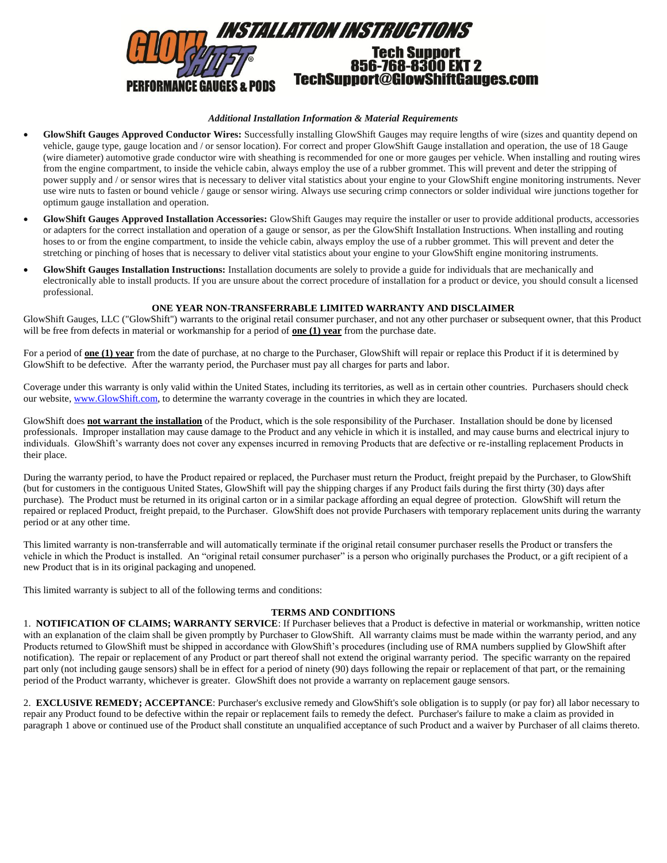

# *Additional Installation Information & Material Requirements*

- **GlowShift Gauges Approved Conductor Wires:** Successfully installing GlowShift Gauges may require lengths of wire (sizes and quantity depend on vehicle, gauge type, gauge location and / or sensor location). For correct and proper GlowShift Gauge installation and operation, the use of 18 Gauge (wire diameter) automotive grade conductor wire with sheathing is recommended for one or more gauges per vehicle. When installing and routing wires from the engine compartment, to inside the vehicle cabin, always employ the use of a rubber grommet. This will prevent and deter the stripping of power supply and / or sensor wires that is necessary to deliver vital statistics about your engine to your GlowShift engine monitoring instruments. Never use wire nuts to fasten or bound vehicle / gauge or sensor wiring. Always use securing crimp connectors or solder individual wire junctions together for optimum gauge installation and operation.
- **GlowShift Gauges Approved Installation Accessories:** GlowShift Gauges may require the installer or user to provide additional products, accessories or adapters for the correct installation and operation of a gauge or sensor, as per the GlowShift Installation Instructions. When installing and routing hoses to or from the engine compartment, to inside the vehicle cabin, always employ the use of a rubber grommet. This will prevent and deter the stretching or pinching of hoses that is necessary to deliver vital statistics about your engine to your GlowShift engine monitoring instruments.
- **GlowShift Gauges Installation Instructions:** Installation documents are solely to provide a guide for individuals that are mechanically and electronically able to install products. If you are unsure about the correct procedure of installation for a product or device, you should consult a licensed professional.

### **ONE YEAR NON-TRANSFERRABLE LIMITED WARRANTY AND DISCLAIMER**

GlowShift Gauges, LLC ("GlowShift") warrants to the original retail consumer purchaser, and not any other purchaser or subsequent owner, that this Product will be free from defects in material or workmanship for a period of **one (1) year** from the purchase date.

For a period of **one (1) year** from the date of purchase, at no charge to the Purchaser, GlowShift will repair or replace this Product if it is determined by GlowShift to be defective. After the warranty period, the Purchaser must pay all charges for parts and labor.

Coverage under this warranty is only valid within the United States, including its territories, as well as in certain other countries. Purchasers should check our website, [www.GlowShift.com,](http://www.glowshift.com/) to determine the warranty coverage in the countries in which they are located.

GlowShift does **not warrant the installation** of the Product, which is the sole responsibility of the Purchaser. Installation should be done by licensed professionals. Improper installation may cause damage to the Product and any vehicle in which it is installed, and may cause burns and electrical injury to individuals. GlowShift's warranty does not cover any expenses incurred in removing Products that are defective or re-installing replacement Products in their place.

During the warranty period, to have the Product repaired or replaced, the Purchaser must return the Product, freight prepaid by the Purchaser, to GlowShift (but for customers in the contiguous United States, GlowShift will pay the shipping charges if any Product fails during the first thirty (30) days after purchase). The Product must be returned in its original carton or in a similar package affording an equal degree of protection. GlowShift will return the repaired or replaced Product, freight prepaid, to the Purchaser. GlowShift does not provide Purchasers with temporary replacement units during the warranty period or at any other time.

This limited warranty is non-transferrable and will automatically terminate if the original retail consumer purchaser resells the Product or transfers the vehicle in which the Product is installed. An "original retail consumer purchaser" is a person who originally purchases the Product, or a gift recipient of a new Product that is in its original packaging and unopened.

This limited warranty is subject to all of the following terms and conditions:

# **TERMS AND CONDITIONS**

1. **NOTIFICATION OF CLAIMS; WARRANTY SERVICE**: If Purchaser believes that a Product is defective in material or workmanship, written notice with an explanation of the claim shall be given promptly by Purchaser to GlowShift. All warranty claims must be made within the warranty period, and any Products returned to GlowShift must be shipped in accordance with GlowShift's procedures (including use of RMA numbers supplied by GlowShift after notification). The repair or replacement of any Product or part thereof shall not extend the original warranty period. The specific warranty on the repaired part only (not including gauge sensors) shall be in effect for a period of ninety (90) days following the repair or replacement of that part, or the remaining period of the Product warranty, whichever is greater. GlowShift does not provide a warranty on replacement gauge sensors.

2. **EXCLUSIVE REMEDY; ACCEPTANCE**: Purchaser's exclusive remedy and GlowShift's sole obligation is to supply (or pay for) all labor necessary to repair any Product found to be defective within the repair or replacement fails to remedy the defect. Purchaser's failure to make a claim as provided in paragraph 1 above or continued use of the Product shall constitute an unqualified acceptance of such Product and a waiver by Purchaser of all claims thereto.